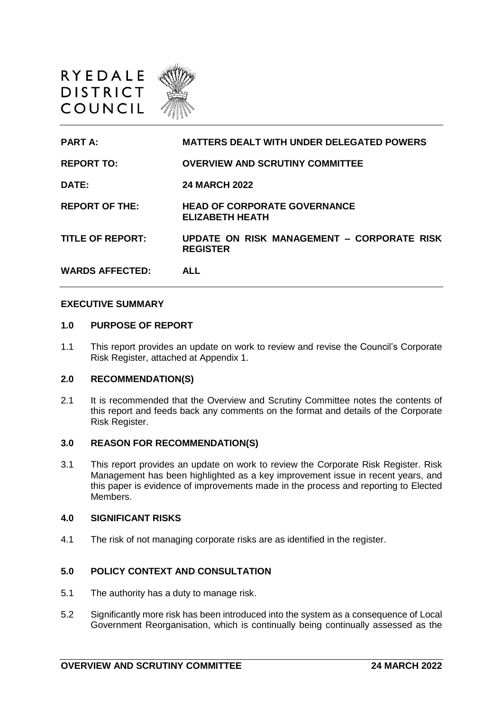



| <b>PART A:</b>          | <b>MATTERS DEALT WITH UNDER DELEGATED POWERS</b>              |
|-------------------------|---------------------------------------------------------------|
| <b>REPORT TO:</b>       | <b>OVERVIEW AND SCRUTINY COMMITTEE</b>                        |
| <b>DATE:</b>            | <b>24 MARCH 2022</b>                                          |
| <b>REPORT OF THE:</b>   | <b>HEAD OF CORPORATE GOVERNANCE</b><br><b>ELIZABETH HEATH</b> |
| <b>TITLE OF REPORT:</b> | UPDATE ON RISK MANAGEMENT - CORPORATE RISK<br><b>REGISTER</b> |
| <b>WARDS AFFECTED:</b>  | ALL                                                           |

#### **EXECUTIVE SUMMARY**

#### **1.0 PURPOSE OF REPORT**

1.1 This report provides an update on work to review and revise the Council's Corporate Risk Register, attached at Appendix 1.

## **2.0 RECOMMENDATION(S)**

2.1 It is recommended that the Overview and Scrutiny Committee notes the contents of this report and feeds back any comments on the format and details of the Corporate Risk Register.

## **3.0 REASON FOR RECOMMENDATION(S)**

3.1 This report provides an update on work to review the Corporate Risk Register. Risk Management has been highlighted as a key improvement issue in recent years, and this paper is evidence of improvements made in the process and reporting to Elected Members.

### **4.0 SIGNIFICANT RISKS**

4.1 The risk of not managing corporate risks are as identified in the register.

# **5.0 POLICY CONTEXT AND CONSULTATION**

- 5.1 The authority has a duty to manage risk.
- 5.2 Significantly more risk has been introduced into the system as a consequence of Local Government Reorganisation, which is continually being continually assessed as the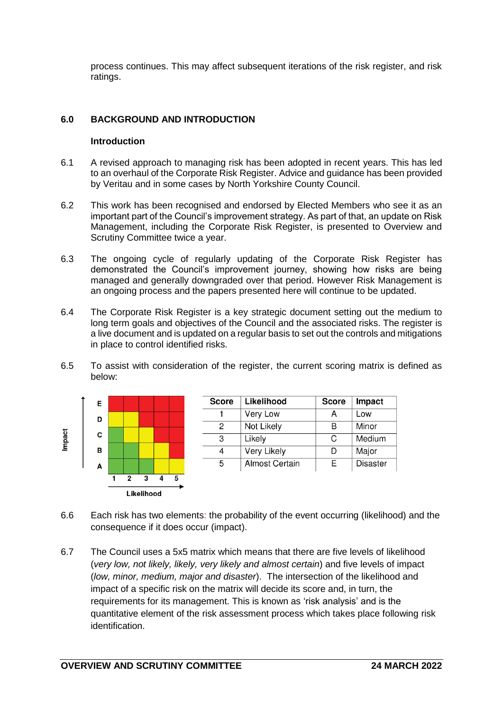process continues. This may affect subsequent iterations of the risk register, and risk ratings.

# **6.0 BACKGROUND AND INTRODUCTION**

### **Introduction**

- 6.1 A revised approach to managing risk has been adopted in recent years. This has led to an overhaul of the Corporate Risk Register. Advice and guidance has been provided by Veritau and in some cases by North Yorkshire County Council.
- 6.2 This work has been recognised and endorsed by Elected Members who see it as an important part of the Council's improvement strategy. As part of that, an update on Risk Management, including the Corporate Risk Register, is presented to Overview and Scrutiny Committee twice a year.
- 6.3 The ongoing cycle of regularly updating of the Corporate Risk Register has demonstrated the Council's improvement journey, showing how risks are being managed and generally downgraded over that period. However Risk Management is an ongoing process and the papers presented here will continue to be updated.
- 6.4 The Corporate Risk Register is a key strategic document setting out the medium to long term goals and objectives of the Council and the associated risks. The register is a live document and is updated on a regular basis to set out the controls and mitigations in place to control identified risks.
- 6.5 To assist with consideration of the register, the current scoring matrix is defined as below:



- 6.6 Each risk has two elements: the probability of the event occurring (likelihood) and the consequence if it does occur (impact).
- 6.7 The Council uses a 5x5 matrix which means that there are five levels of likelihood (*very low, not likely, likely, very likely and almost certain*) and five levels of impact (*low, minor, medium, major and disaster*). The intersection of the likelihood and impact of a specific risk on the matrix will decide its score and, in turn, the requirements for its management. This is known as 'risk analysis' and is the quantitative element of the risk assessment process which takes place following risk identification.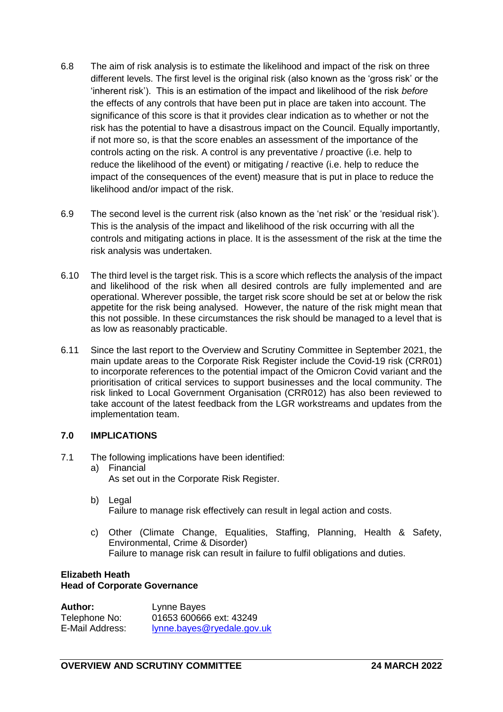- 6.8 The aim of risk analysis is to estimate the likelihood and impact of the risk on three different levels. The first level is the original risk (also known as the 'gross risk' or the 'inherent risk'). This is an estimation of the impact and likelihood of the risk *before* the effects of any controls that have been put in place are taken into account. The significance of this score is that it provides clear indication as to whether or not the risk has the potential to have a disastrous impact on the Council. Equally importantly, if not more so, is that the score enables an assessment of the importance of the controls acting on the risk. A control is any preventative / proactive (i.e. help to reduce the likelihood of the event) or mitigating / reactive (i.e. help to reduce the impact of the consequences of the event) measure that is put in place to reduce the likelihood and/or impact of the risk.
- 6.9 The second level is the current risk (also known as the 'net risk' or the 'residual risk'). This is the analysis of the impact and likelihood of the risk occurring with all the controls and mitigating actions in place. It is the assessment of the risk at the time the risk analysis was undertaken.
- 6.10 The third level is the target risk. This is a score which reflects the analysis of the impact and likelihood of the risk when all desired controls are fully implemented and are operational. Wherever possible, the target risk score should be set at or below the risk appetite for the risk being analysed. However, the nature of the risk might mean that this not possible. In these circumstances the risk should be managed to a level that is as low as reasonably practicable.
- 6.11 Since the last report to the Overview and Scrutiny Committee in September 2021, the main update areas to the Corporate Risk Register include the Covid-19 risk (CRR01) to incorporate references to the potential impact of the Omicron Covid variant and the prioritisation of critical services to support businesses and the local community. The risk linked to Local Government Organisation (CRR012) has also been reviewed to take account of the latest feedback from the LGR workstreams and updates from the implementation team.

# **7.0 IMPLICATIONS**

- 7.1 The following implications have been identified:
	- a) Financial
		- As set out in the Corporate Risk Register.
	- b) Legal Failure to manage risk effectively can result in legal action and costs.
	- c) Other (Climate Change, Equalities, Staffing, Planning, Health & Safety, Environmental, Crime & Disorder) Failure to manage risk can result in failure to fulfil obligations and duties.

### **Elizabeth Heath Head of Corporate Governance**

| Author:         | Lynne Bayes                |
|-----------------|----------------------------|
| Telephone No:   | 01653 600666 ext: 43249    |
| E-Mail Address: | lynne.bayes@ryedale.gov.uk |